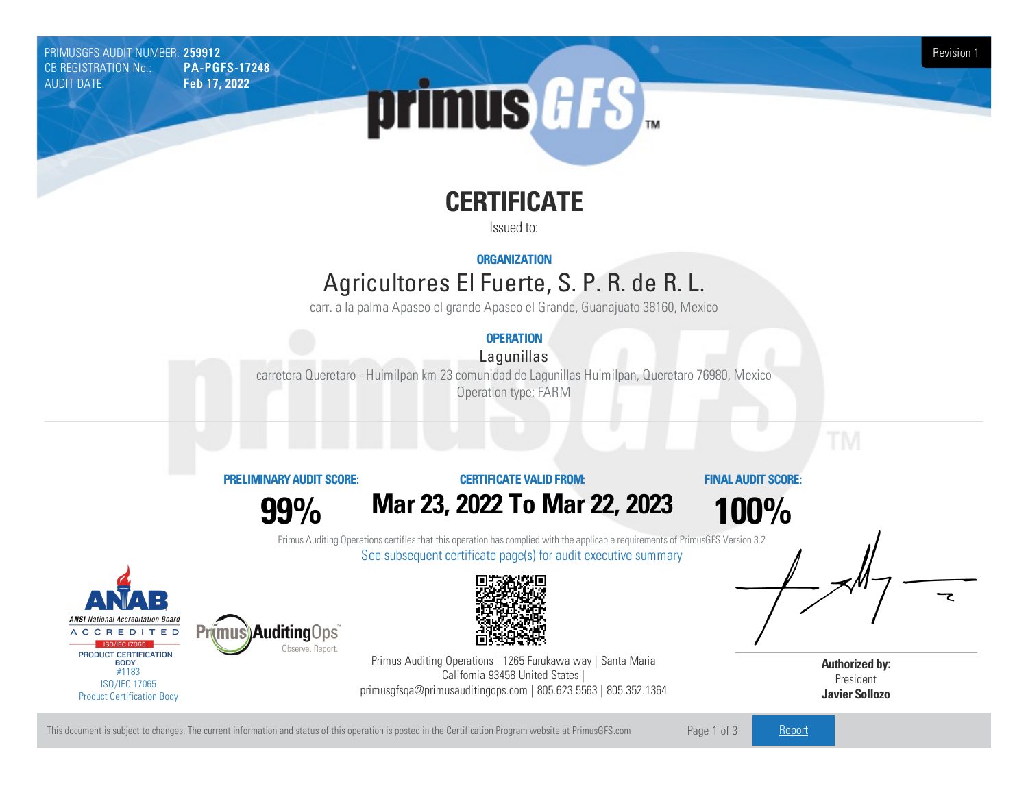PRIMUSGFS AUDIT NUMBER: 259912 Revision 1 CB REGISTRATION No.: AUDIT DATE: Feb 17, 2022



# **CERTIFICATE**

Issued to:

**ORGANIZATION**

# Agricultores ElFuerte, S. P. R. de R.L.

carr. a la palma Apaseo el grande Apaseo el Grande, Guanajuato 38160, Mexico

### **OPERATION**

Lagunillas

carretera Queretaro - Huimilpan km 23 comunidad de Lagunillas Huimilpan, Queretaro 76980, Mexico Operation type: FARM

#### **PRELIMINARYAUDIT SCORE:**

**99%**

**Auditing Ops** 

Observe, Report.

## **CERTIFICATE VALIDFROM: Mar23, 2022 To Mar22, 2023**

**FINAL AUDIT SCORE:**

**100%**

Primus Auditing Operations certifies that this operation has complied with the applicable requirements of PrimusGFS Version 3.2 See subsequent certificate page(s) for audit executive summary





Primus Auditing Operations | 1265 Furukawa way | Santa Maria California 93458 United States | primusgfsqa@primusauditingops.com | 805.623.5563 | 805.352.1364

**Authorized by:** President **Javier Sollozo**

This document is subject to changes. The current information and status of this operation is posted in the Certification Program website at PrimusGFS.com Page 1 of 3 [Report](https://secure.azzule.com/PGFSDocuments/PGFS_AuditReport259912_9605_1_SP.pdf)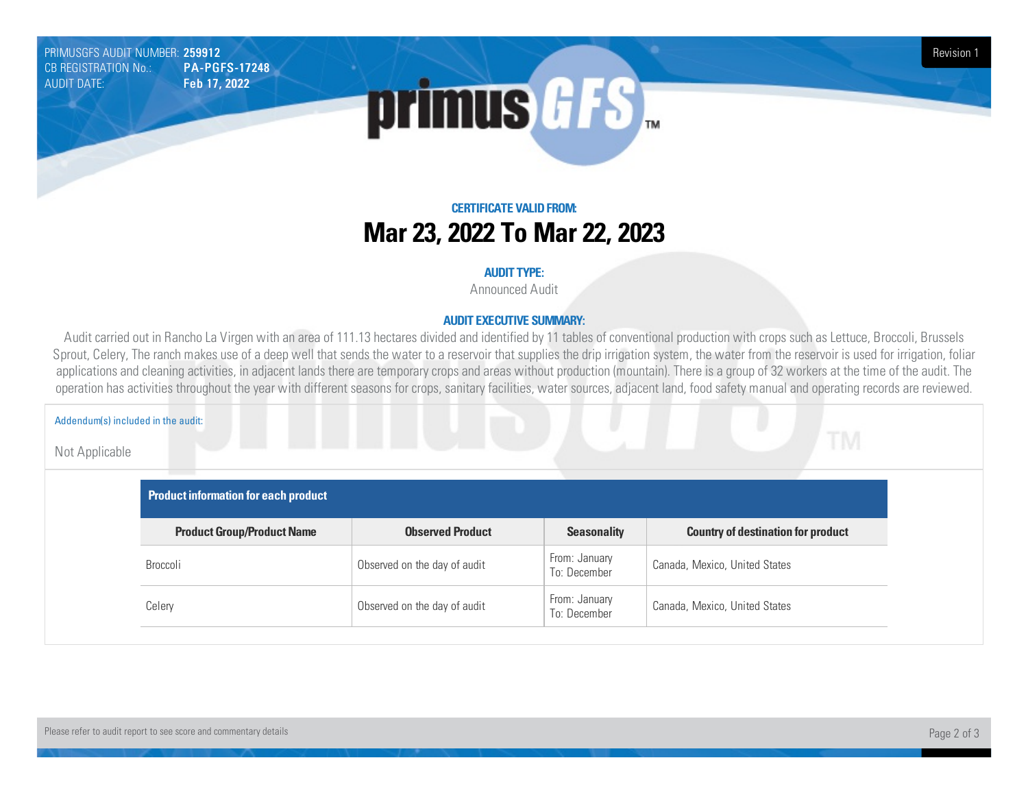PRIMUSGFS AUDIT NUMBER: 259912 Revision 1 CB REGISTRATION No.: AUDIT DATE: Feb 17, 2022



## **CERTIFICATE VALIDFROM: Mar23, 2022 To Mar22, 2023**

#### **AUDIT TYPE:**

Announced Audit

#### **AUDIT EXECUTIVE SUMMARY:**

Audit carried out in Rancho La Virgen with an area of 111.13 hectares divided and identified by 11 tables of conventional production with crops such as Lettuce, Broccoli, Brussels Sprout, Celery, The ranch makes use of a deep well that sends the water to a reservoir that supplies the drip irrigation system, the water from the reservoir is used for irrigation, foliar applications and cleaning activities, in adjacent lands there are temporary crops and areas without production (mountain). There is a group of 32 workers at the time of the audit. The operation has activities throughout the year with different seasons for crops, sanitary facilities, water sources, adjacent land, food safety manual and operating records are reviewed.

#### Addendum(s) included in the audit:

Not Applicable

| Product information for each product |                              |                               |                                           |  |  |
|--------------------------------------|------------------------------|-------------------------------|-------------------------------------------|--|--|
| <b>Product Group/Product Name</b>    | <b>Observed Product</b>      | <b>Seasonality</b>            | <b>Country of destination for product</b> |  |  |
| Broccoli                             | Observed on the day of audit | From: January<br>To: December | Canada, Mexico, United States             |  |  |
| Celery                               | Observed on the day of audit | From: January<br>To: December | Canada, Mexico, United States             |  |  |